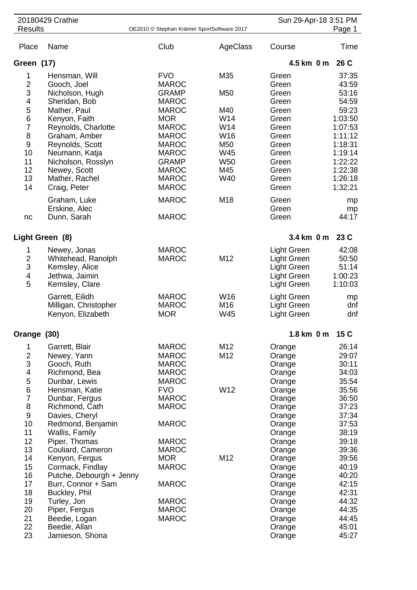| 20180429 Crathie        |                                     |                                            |                 | Sun 29-Apr-18 3:51 PM |                    |
|-------------------------|-------------------------------------|--------------------------------------------|-----------------|-----------------------|--------------------|
| <b>Results</b>          |                                     | OE2010 © Stephan Krämer SportSoftware 2017 |                 |                       | Page 1             |
| Place                   | Name                                | Club                                       | AgeClass        | Course                | Time               |
| Green (17)              |                                     |                                            |                 | 4.5 km 0 m            | 26 C               |
| 1                       | Hensman, Will                       | <b>FVO</b>                                 | M35             | Green                 | 37:35              |
| $\overline{2}$          | Gooch, Joel                         | <b>MAROC</b>                               |                 | Green                 | 43:59              |
| 3                       | Nicholson, Hugh                     | <b>GRAMP</b>                               | M <sub>50</sub> | Green                 | 53:16              |
| 4                       | Sheridan, Bob                       | <b>MAROC</b>                               |                 | Green                 | 54:59              |
| 5                       | Mather, Paul                        | <b>MAROC</b>                               | M40             | Green                 | 59:23              |
| 6                       | Kenyon, Faith                       | <b>MOR</b>                                 | W14             | Green                 | 1:03:50            |
| $\overline{7}$          | Reynolds, Charlotte                 | <b>MAROC</b>                               | W14             | Green                 | 1:07:53            |
| 8<br>$\boldsymbol{9}$   | Graham, Amber<br>Reynolds, Scott    | <b>MAROC</b><br><b>MAROC</b>               | W16<br>M50      | Green<br>Green        | 1:11:12<br>1:18:31 |
| 10                      | Neumann, Katja                      | <b>MAROC</b>                               | W45             | Green                 | 1:19:14            |
| 11                      | Nicholson, Rosslyn                  | <b>GRAMP</b>                               | W <sub>50</sub> | Green                 | 1:22:22            |
| 12                      | Newey, Scott                        | <b>MAROC</b>                               | M45             | Green                 | 1:22:38            |
| 13                      | Mather, Rachel                      | <b>MAROC</b>                               | W40             | Green                 | 1:26:18            |
| 14                      | Craig, Peter                        | <b>MAROC</b>                               |                 | Green                 | 1:32:21            |
|                         | Graham, Luke                        | <b>MAROC</b>                               | M18             | Green                 | mp                 |
|                         | Erskine, Alec                       |                                            |                 | Green                 | mp                 |
| nc                      | Dunn, Sarah                         | <b>MAROC</b>                               |                 | Green                 | 44:17              |
| Light Green (8)         |                                     |                                            |                 | 3.4 km 0 m            | 23 C               |
| 1                       | Newey, Jonas                        | <b>MAROC</b>                               |                 | <b>Light Green</b>    | 42:08              |
| $\overline{\mathbf{c}}$ | Whitehead, Ranolph                  | <b>MAROC</b>                               | M12             | <b>Light Green</b>    | 50:50              |
| 3                       | Kemsley, Alice                      |                                            |                 | Light Green           | 51:14              |
| $\overline{\mathbf{4}}$ | Jethwa, Jaimin                      |                                            |                 | Light Green           | 1:00:23            |
| 5                       | Kemsley, Clare                      |                                            |                 | <b>Light Green</b>    | 1:10:03            |
|                         | Garrett, Eilidh                     | <b>MAROC</b>                               | W16             | <b>Light Green</b>    | mp                 |
|                         | Milligan, Christopher               | <b>MAROC</b>                               | M16             | Light Green           | dnf                |
|                         | Kenyon, Elizabeth                   | <b>MOR</b>                                 | W45             | <b>Light Green</b>    | dnf                |
| Orange                  | (30)                                |                                            |                 | 1.8 km 0 m            | 15 C               |
| 1                       | Garrett, Blair                      | <b>MAROC</b>                               | M12             | Orange                | 26:14              |
| $\overline{\mathbf{c}}$ | Newey, Yann                         | <b>MAROC</b>                               | M12             | Orange                | 29:07              |
| 3                       | Gooch, Ruth                         | <b>MAROC</b>                               |                 | Orange                | 30:11              |
| 4                       | Richmond, Bea                       | <b>MAROC</b>                               |                 | Orange                | 34:03              |
| 5                       | Dunbar, Lewis                       | <b>MAROC</b>                               |                 | Orange                | 35:54              |
| 6<br>$\overline{7}$     | Hensman, Katie<br>Dunbar, Fergus    | <b>FVO</b><br><b>MAROC</b>                 | W12             | Orange                | 35:56<br>36:50     |
| 8                       | Richmond, Cath                      | <b>MAROC</b>                               |                 | Orange<br>Orange      | 37:23              |
| 9                       | Davies, Cheryl                      |                                            |                 | Orange                | 37:34              |
| 10                      | Redmond, Benjamin                   | <b>MAROC</b>                               |                 | Orange                | 37:53              |
| 11                      | Wallis, Family                      |                                            |                 | Orange                | 38:19              |
| 12                      | Piper, Thomas                       | <b>MAROC</b>                               |                 | Orange                | 39:18              |
| 13                      | Couliard, Cameron                   | <b>MAROC</b>                               |                 | Orange                | 39:36              |
| 14                      | Kenyon, Fergus                      | <b>MOR</b>                                 | M12             | Orange                | 39:56              |
| 15                      | Cormack, Findlay                    | <b>MAROC</b>                               |                 | Orange                | 40:19              |
| 16<br>17                | Putche, Debourgh + Jenny            | <b>MAROC</b>                               |                 | Orange                | 40:20<br>42:15     |
| 18                      | Burr, Connor + Sam<br>Buckley, Phil |                                            |                 | Orange                | 42:31              |
| 19                      | Turley, Jon                         | <b>MAROC</b>                               |                 | Orange<br>Orange      | 44:32              |
| 20                      | Piper, Fergus                       | <b>MAROC</b>                               |                 | Orange                | 44:35              |
| 21                      | Beedie, Logan                       | <b>MAROC</b>                               |                 | Orange                | 44:45              |
| 22                      | Beedie, Allan                       |                                            |                 | Orange                | 45:01              |
| 23                      | Jamieson, Shona                     |                                            |                 | Orange                | 45:27              |